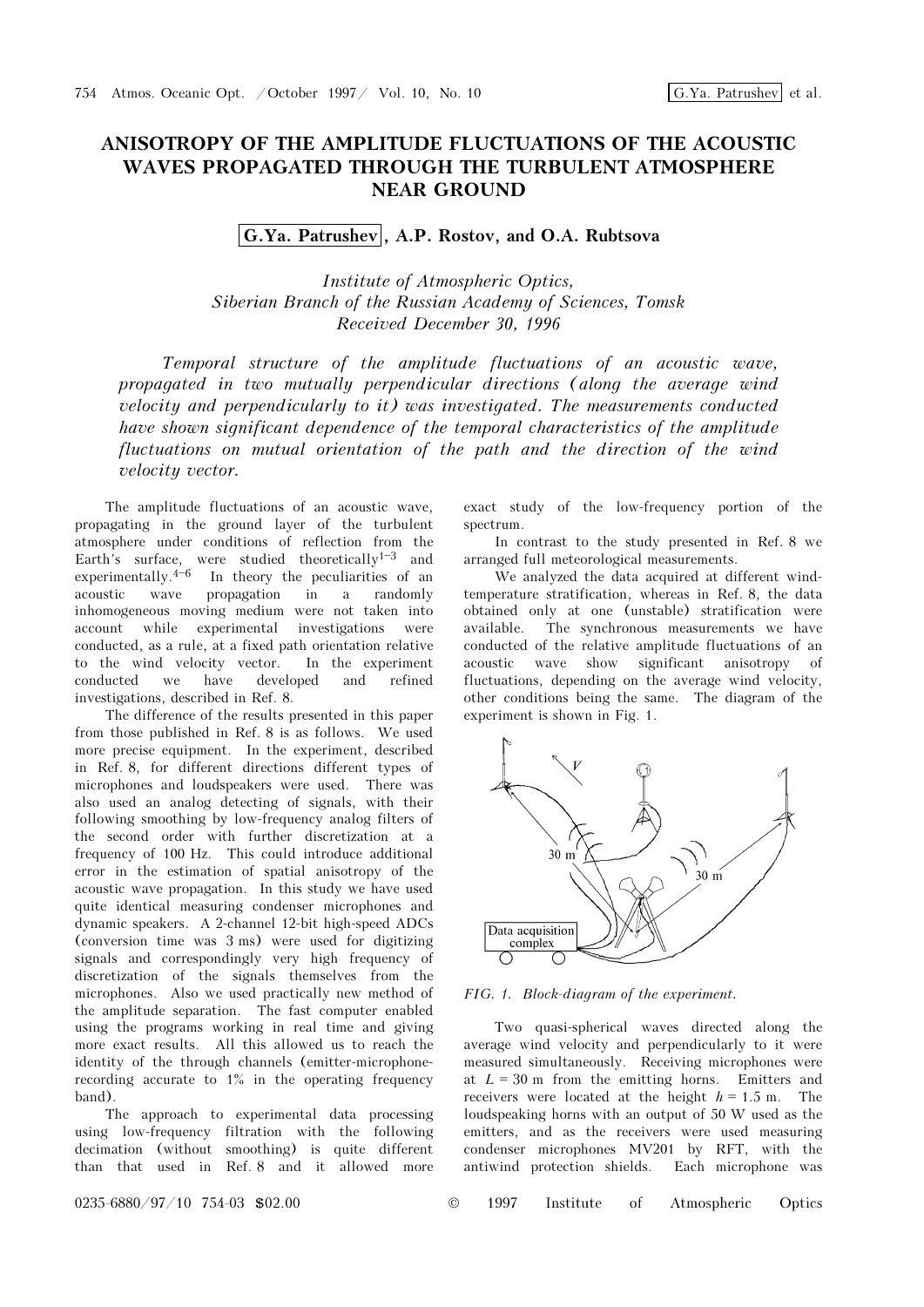## ANISOTROPY OF THE AMPLITUDE FLUCTUATIONS OF THE ACOUSTIC WAVES PROPAGATED THROUGH THE TURBULENT ATMOSPHERE NEAR GROUND

## G.Ya. Patrushev , A.P. Rostov, and O.A. Rubtsova

Institute of Atmospheric Optics, Siberian Branch of the Russian Academy of Sciences, Tomsk Received December 30, 1996

Temporal structure of the amplitude fluctuations of an acoustic wave, propagated in two mutually perpendicular directions (along the average wind velocity and perpendicularly to it) was investigated. The measurements conducted have shown significant dependence of the temporal characteristics of the amplitude fluctuations on mutual orientation of the path and the direction of the wind velocity vector.

The amplitude fluctuations of an acoustic wave, propagating in the ground layer of the turbulent atmosphere under conditions of reflection from the Earth's surface, were studied theoretically<sup>1-3</sup> and experimentally. $4-6$  In theory the peculiarities of an acoustic wave propagation in a randomly inhomogeneous moving medium were not taken into account while experimental investigations were conducted, as a rule, at a fixed path orientation relative to the wind velocity vector. In the experiment conducted we have developed and refined investigations, described in Ref. 8.

The difference of the results presented in this paper from those published in Ref. 8 is as follows. We used more precise equipment. In the experiment, described in Ref. 8, for different directions different types of microphones and loudspeakers were used. There was also used an analog detecting of signals, with their following smoothing by low-frequency analog filters of the second order with further discretization at a frequency of 100 Hz. This could introduce additional error in the estimation of spatial anisotropy of the acoustic wave propagation. In this study we have used quite identical measuring condenser microphones and dynamic speakers. A 2-channel 12-bit high-speed ADCs (conversion time was 3 ms) were used for digitizing signals and correspondingly very high frequency of discretization of the signals themselves from the microphones. Also we used practically new method of the amplitude separation. The fast computer enabled using the programs working in real time and giving more exact results. All this allowed us to reach the identity of the through channels (emitter-microphonerecording accurate to 1% in the operating frequency band).

The approach to experimental data processing using low-frequency filtration with the following decimation (without smoothing) is quite different than that used in Ref. 8 and it allowed more exact study of the low-frequency portion of the spectrum.

In contrast to the study presented in Ref. 8 we arranged full meteorological measurements.

We analyzed the data acquired at different windtemperature stratification, whereas in Ref. 8, the data obtained only at one (unstable) stratification were available. The synchronous measurements we have conducted of the relative amplitude fluctuations of an acoustic wave show significant anisotropy of fluctuations, depending on the average wind velocity, other conditions being the same. The diagram of the experiment is shown in Fig. 1.



FIG. 1. Block-diagram of the experiment.

Two quasi-spherical waves directed along the average wind velocity and perpendicularly to it were measured simultaneously. Receiving microphones were at  $L = 30$  m from the emitting horns. Emitters and receivers were located at the height  $h = 1.5$  m. The loudspeaking horns with an output of 50 W used as the emitters, and as the receivers were used measuring condenser microphones MV201 by RFT, with the antiwind protection shields. Each microphone was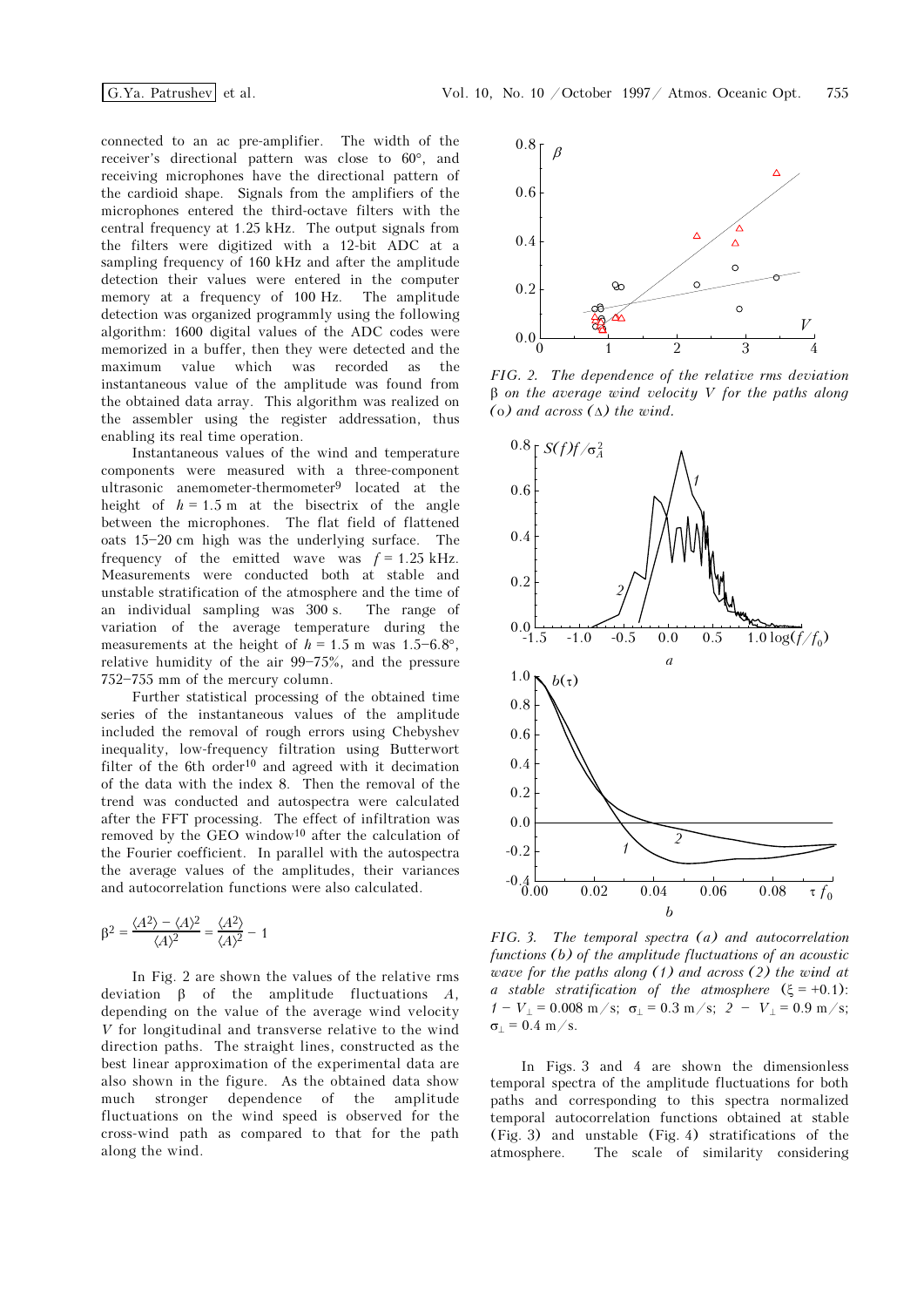connected to an ac pre-amplifier. The width of the receiver's directional pattern was close to 60°, and receiving microphones have the directional pattern of the cardioid shape. Signals from the amplifiers of the microphones entered the third-octave filters with the central frequency at 1.25 kHz. The output signals from the filters were digitized with a 12-bit ADC at a sampling frequency of 160 kHz and after the amplitude detection their values were entered in the computer memory at a frequency of 100 Hz. The amplitude detection was organized programmly using the following algorithm: 1600 digital values of the ADC codes were memorized in a buffer, then they were detected and the maximum value which was recorded as the instantaneous value of the amplitude was found from the obtained data array. This algorithm was realized on the assembler using the register addressation, thus enabling its real time operation.

Instantaneous values of the wind and temperature components were measured with a three-component ultrasonic anemometer-thermometer<sup>9</sup> located at the height of  $h = 1.5$  m at the bisectrix of the angle between the microphones. The flat field of flattened oats  $15-20$  cm high was the underlying surface. The frequency of the emitted wave was  $f = 1.25$  kHz. Measurements were conducted both at stable and unstable stratification of the atmosphere and the time of an individual sampling was 300 s. The range of variation of the average temperature during the measurements at the height of  $h = 1.5$  m was  $1.5 - 6.8$ °. relative humidity of the air  $99-75%$ , and the pressure  $752 - 755$  mm of the mercury column.

Further statistical processing of the obtained time series of the instantaneous values of the amplitude included the removal of rough errors using Chebyshev inequality, low-frequency filtration using Butterwort filter of the 6th order<sup>10</sup> and agreed with it decimation of the data with the index 8. Then the removal of the trend was conducted and autospectra were calculated after the FFT processing. The effect of infiltration was removed by the GEO window10 after the calculation of the Fourier coefficient. In parallel with the autospectra the average values of the amplitudes, their variances and autocorrelation functions were also calculated.

$$
\beta^2 = \frac{\langle A^2 \rangle - \langle A \rangle^2}{\langle A \rangle^2} = \frac{\langle A^2 \rangle}{\langle A \rangle^2} - 1
$$

In Fig. 2 are shown the values of the relative rms deviation  $β$  of the amplitude fluctuations  $A$ , depending on the value of the average wind velocity V for longitudinal and transverse relative to the wind direction paths. The straight lines, constructed as the best linear approximation of the experimental data are also shown in the figure. As the obtained data show much stronger dependence of the amplitude fluctuations on the wind speed is observed for the cross-wind path as compared to that for the path along the wind.



FIG. 2. The dependence of the relative rms deviation  $\beta$  on the average wind velocity V for the paths along ( $o$ ) and across  $(\Delta)$  the wind.



FIG. 3. The temporal spectra (a) and autocorrelation functions (b) of the amplitude fluctuations of an acoustic wave for the paths along (1) and across (2) the wind at a stable stratification of the atmosphere  $(\xi = +0.1)$ :  $1 - V_{\perp} = 0.008 \text{ m/s}; \ \sigma_{\perp} = 0.3 \text{ m/s}; \ 2 - V_{\perp} = 0.9 \text{ m/s};$  $σ<sub>⊥</sub> = 0.4 m/s.$ 

In Figs. 3 and 4 are shown the dimensionless temporal spectra of the amplitude fluctuations for both paths and corresponding to this spectra normalized temporal autocorrelation functions obtained at stable (Fig. 3) and unstable (Fig. 4) stratifications of the atmosphere. The scale of similarity considering